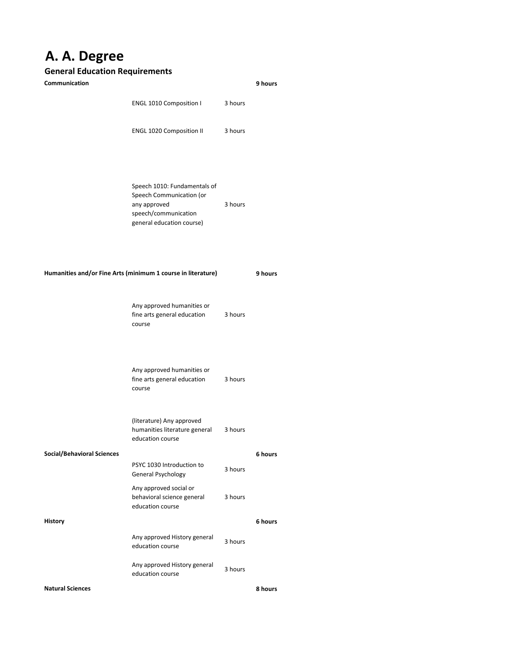## **A. A. Degree**

## **General Education Requirements**

| Communication                                                |                                                                                                                               |         | 9 hours |
|--------------------------------------------------------------|-------------------------------------------------------------------------------------------------------------------------------|---------|---------|
|                                                              | ENGL 1010 Composition I                                                                                                       | 3 hours |         |
|                                                              | ENGL 1020 Composition II                                                                                                      | 3 hours |         |
|                                                              | Speech 1010: Fundamentals of<br>Speech Communication (or<br>any approved<br>speech/communication<br>general education course) | 3 hours |         |
| Humanities and/or Fine Arts (minimum 1 course in literature) |                                                                                                                               |         | 9 hours |
|                                                              | Any approved humanities or<br>fine arts general education<br>course                                                           | 3 hours |         |
|                                                              | Any approved humanities or<br>fine arts general education<br>course                                                           | 3 hours |         |
|                                                              | (literature) Any approved<br>humanities literature general<br>education course                                                | 3 hours |         |
| <b>Social/Behavioral Sciences</b>                            | PSYC 1030 Introduction to<br>General Psychology                                                                               | 3 hours | 6 hours |
|                                                              | Any approved social or<br>behavioral science general<br>education course                                                      | 3 hours |         |
| History                                                      |                                                                                                                               |         | 6 hours |
|                                                              | Any approved History general<br>education course                                                                              | 3 hours |         |
|                                                              | Any approved History general<br>education course                                                                              | 3 hours |         |
| <b>Natural Sciences</b>                                      |                                                                                                                               |         | 8 hours |